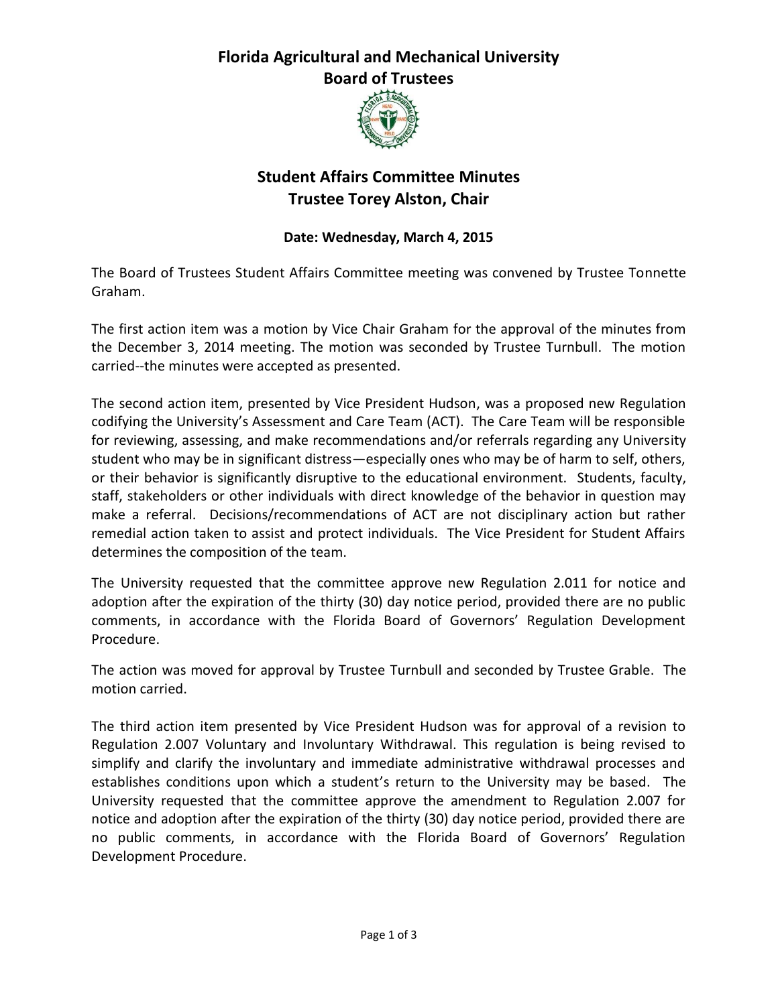### **Florida Agricultural and Mechanical University Board of Trustees**



# **Student Affairs Committee Minutes Trustee Torey Alston, Chair**

### **Date: Wednesday, March 4, 2015**

The Board of Trustees Student Affairs Committee meeting was convened by Trustee Tonnette Graham.

The first action item was a motion by Vice Chair Graham for the approval of the minutes from the December 3, 2014 meeting. The motion was seconded by Trustee Turnbull. The motion carried--the minutes were accepted as presented.

The second action item, presented by Vice President Hudson, was a proposed new Regulation codifying the University's Assessment and Care Team (ACT). The Care Team will be responsible for reviewing, assessing, and make recommendations and/or referrals regarding any University student who may be in significant distress—especially ones who may be of harm to self, others, or their behavior is significantly disruptive to the educational environment. Students, faculty, staff, stakeholders or other individuals with direct knowledge of the behavior in question may make a referral. Decisions/recommendations of ACT are not disciplinary action but rather remedial action taken to assist and protect individuals. The Vice President for Student Affairs determines the composition of the team.

The University requested that the committee approve new Regulation 2.011 for notice and adoption after the expiration of the thirty (30) day notice period, provided there are no public comments, in accordance with the Florida Board of Governors' Regulation Development Procedure.

The action was moved for approval by Trustee Turnbull and seconded by Trustee Grable. The motion carried.

The third action item presented by Vice President Hudson was for approval of a revision to Regulation 2.007 Voluntary and Involuntary Withdrawal. This regulation is being revised to simplify and clarify the involuntary and immediate administrative withdrawal processes and establishes conditions upon which a student's return to the University may be based. The University requested that the committee approve the amendment to Regulation 2.007 for notice and adoption after the expiration of the thirty (30) day notice period, provided there are no public comments, in accordance with the Florida Board of Governors' Regulation Development Procedure.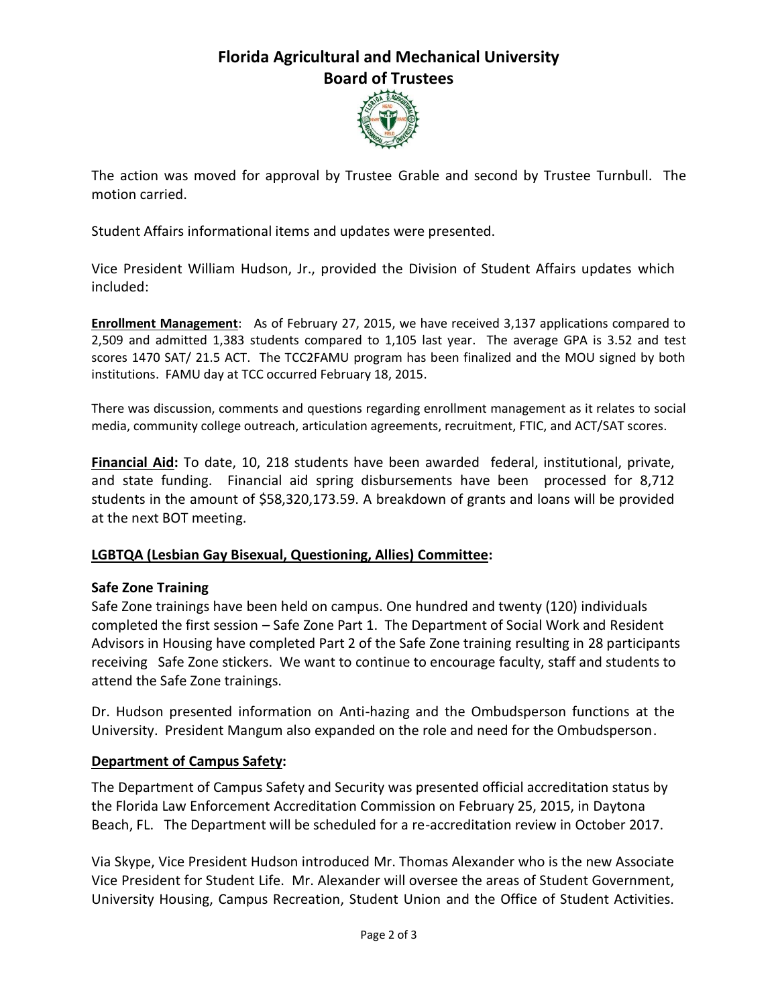## **Florida Agricultural and Mechanical University Board of Trustees**



The action was moved for approval by Trustee Grable and second by Trustee Turnbull. The motion carried.

Student Affairs informational items and updates were presented.

Vice President William Hudson, Jr., provided the Division of Student Affairs updates which included:

**Enrollment Management**:As of February 27, 2015, we have received 3,137 applications compared to 2,509 and admitted 1,383 students compared to 1,105 last year. The average GPA is 3.52 and test scores 1470 SAT/ 21.5 ACT. The TCC2FAMU program has been finalized and the MOU signed by both institutions. FAMU day at TCC occurred February 18, 2015.

There was discussion, comments and questions regarding enrollment management as it relates to social media, community college outreach, articulation agreements, recruitment, FTIC, and ACT/SAT scores.

**Financial Aid:** To date, 10, 218 students have been awarded federal, institutional, private, and state funding. Financial aid spring disbursements have been processed for 8,712 students in the amount of \$58,320,173.59. A breakdown of grants and loans will be provided at the next BOT meeting.

#### **LGBTQA (Lesbian Gay Bisexual, Questioning, Allies) Committee:**

#### **Safe Zone Training**

Safe Zone trainings have been held on campus. One hundred and twenty (120) individuals completed the first session – Safe Zone Part 1. The Department of Social Work and Resident Advisors in Housing have completed Part 2 of the Safe Zone training resulting in 28 participants receiving Safe Zone stickers. We want to continue to encourage faculty, staff and students to attend the Safe Zone trainings.

Dr. Hudson presented information on Anti-hazing and the Ombudsperson functions at the University. President Mangum also expanded on the role and need for the Ombudsperson.

#### **Department of Campus Safety:**

The Department of Campus Safety and Security was presented official accreditation status by the Florida Law Enforcement Accreditation Commission on February 25, 2015, in Daytona Beach, FL. The Department will be scheduled for a re-accreditation review in October 2017.

Via Skype, Vice President Hudson introduced Mr. Thomas Alexander who is the new Associate Vice President for Student Life. Mr. Alexander will oversee the areas of Student Government, University Housing, Campus Recreation, Student Union and the Office of Student Activities.